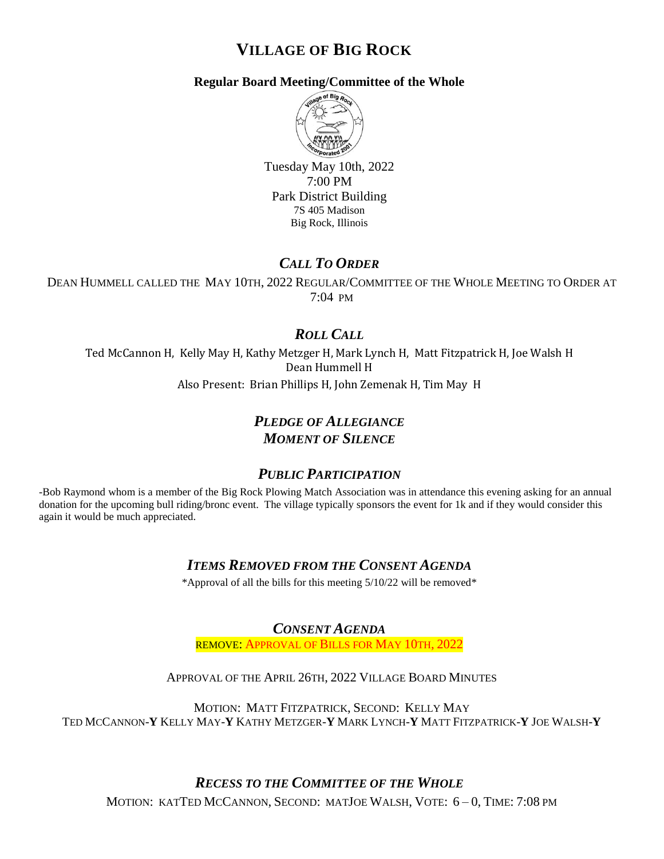# **VILLAGE OF BIG ROCK**

### **Regular Board Meeting/Committee of the Whole**



Tuesday May 10th, 2022 7:00 PM Park District Building 7S 405 Madison Big Rock, Illinois

## *CALL TO ORDER*

DEAN HUMMELL CALLED THE MAY 10TH, 2022 REGULAR/COMMITTEE OF THE WHOLE MEETING TO ORDER AT 7:04 PM

## *ROLL CALL*

Ted McCannon H, Kelly May H, Kathy Metzger H, Mark Lynch H, Matt Fitzpatrick H, Joe Walsh H Dean Hummell H Also Present: Brian Phillips H, John Zemenak H, Tim May H

## *PLEDGE OF ALLEGIANCE MOMENT OF SILENCE*

### *PUBLIC PARTICIPATION*

-Bob Raymond whom is a member of the Big Rock Plowing Match Association was in attendance this evening asking for an annual donation for the upcoming bull riding/bronc event. The village typically sponsors the event for 1k and if they would consider this again it would be much appreciated.

## *ITEMS REMOVED FROM THE CONSENT AGENDA*

\*Approval of all the bills for this meeting 5/10/22 will be removed\*

*CONSENT AGENDA*

REMOVE: APPROVAL OF BILLS FOR MAY 10TH, 2022

APPROVAL OF THE APRIL 26TH, 2022 VILLAGE BOARD MINUTES

MOTION: MATT FITZPATRICK, SECOND: KELLY MAY TED MCCANNON-**Y** KELLY MAY-**Y** KATHY METZGER-**Y** MARK LYNCH-**Y** MATT FITZPATRICK-**Y** JOE WALSH-**Y**

## *RECESS TO THE COMMITTEE OF THE WHOLE*

MOTION: KATTED MCCANNON, SECOND: MATJOE WALSH, VOTE: 6 – 0, TIME: 7:08 PM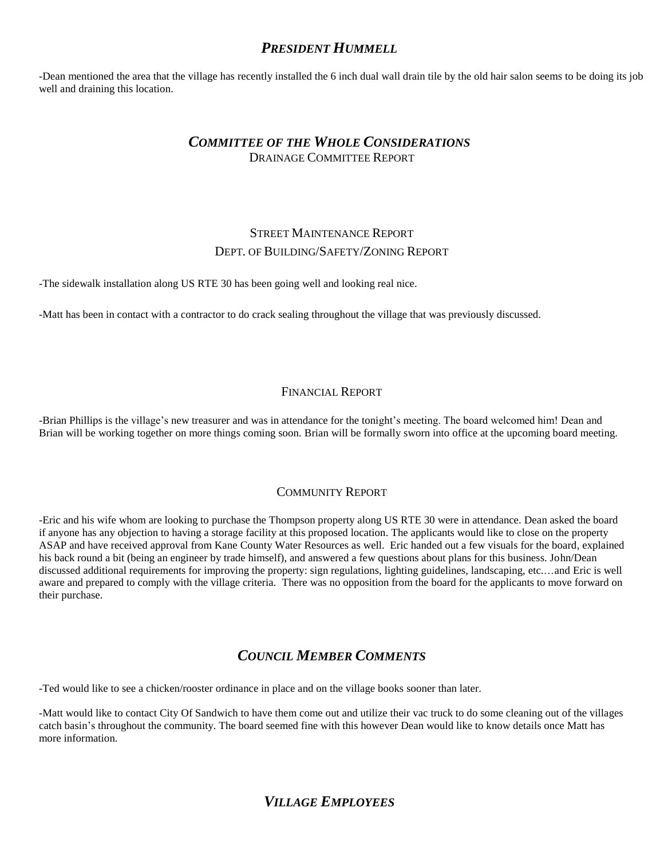### *PRESIDENT HUMMELL*

-Dean mentioned the area that the village has recently installed the 6 inch dual wall drain tile by the old hair salon seems to be doing its job well and draining this location.

#### *COMMITTEE OF THE WHOLE CONSIDERATIONS* DRAINAGE COMMITTEE REPORT

### STREET MAINTENANCE REPORT DEPT. OF BUILDING/SAFETY/ZONING REPORT

-The sidewalk installation along US RTE 30 has been going well and looking real nice.

-Matt has been in contact with a contractor to do crack sealing throughout the village that was previously discussed.

#### FINANCIAL REPORT

-Brian Phillips is the village's new treasurer and was in attendance for the tonight's meeting. The board welcomed him! Dean and Brian will be working together on more things coming soon. Brian will be formally sworn into office at the upcoming board meeting.

#### COMMUNITY REPORT

-Eric and his wife whom are looking to purchase the Thompson property along US RTE 30 were in attendance. Dean asked the board if anyone has any objection to having a storage facility at this proposed location. The applicants would like to close on the property ASAP and have received approval from Kane County Water Resources as well. Eric handed out a few visuals for the board, explained his back round a bit (being an engineer by trade himself), and answered a few questions about plans for this business. John/Dean discussed additional requirements for improving the property: sign regulations, lighting guidelines, landscaping, etc.…and Eric is well aware and prepared to comply with the village criteria. There was no opposition from the board for the applicants to move forward on their purchase.

### *COUNCIL MEMBER COMMENTS*

-Ted would like to see a chicken/rooster ordinance in place and on the village books sooner than later.

-Matt would like to contact City Of Sandwich to have them come out and utilize their vac truck to do some cleaning out of the villages catch basin's throughout the community. The board seemed fine with this however Dean would like to know details once Matt has more information.

### *VILLAGE EMPLOYEES*